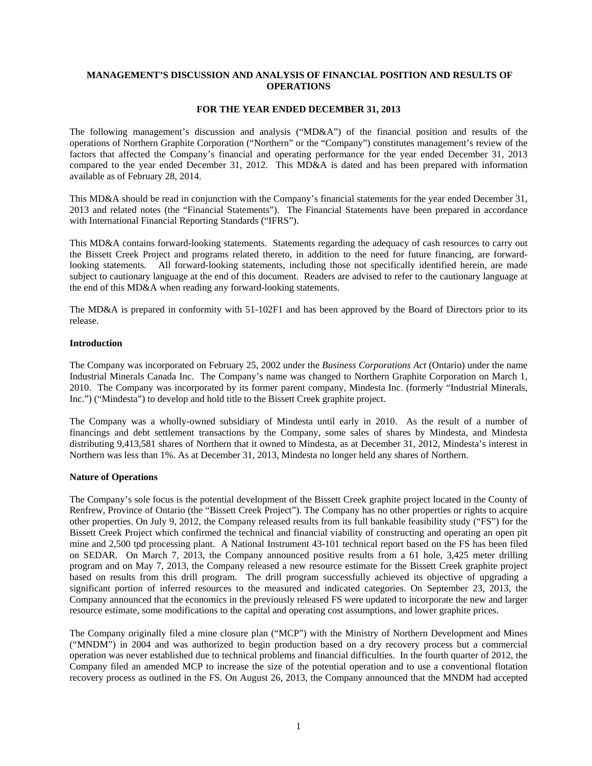# **MANAGEMENT'S DISCUSSION AND ANALYSIS OF FINANCIAL POSITION AND RESULTS OF OPERATIONS**

# **FOR THE YEAR ENDED DECEMBER 31, 2013**

The following management's discussion and analysis ("MD&A") of the financial position and results of the operations of Northern Graphite Corporation ("Northern" or the "Company") constitutes management's review of the factors that affected the Company's financial and operating performance for the year ended December 31, 2013 compared to the year ended December 31, 2012. This MD&A is dated and has been prepared with information available as of February 28, 2014.

This MD&A should be read in conjunction with the Company's financial statements for the year ended December 31, 2013 and related notes (the "Financial Statements"). The Financial Statements have been prepared in accordance with International Financial Reporting Standards ("IFRS").

This MD&A contains forward-looking statements. Statements regarding the adequacy of cash resources to carry out the Bissett Creek Project and programs related thereto, in addition to the need for future financing, are forwardlooking statements. All forward-looking statements, including those not specifically identified herein, are made subject to cautionary language at the end of this document. Readers are advised to refer to the cautionary language at the end of this MD&A when reading any forward-looking statements.

The MD&A is prepared in conformity with 51-102F1 and has been approved by the Board of Directors prior to its release.

# **Introduction**

The Company was incorporated on February 25, 2002 under the *Business Corporations Act* (Ontario) under the name Industrial Minerals Canada Inc. The Company's name was changed to Northern Graphite Corporation on March 1, 2010. The Company was incorporated by its former parent company, Mindesta Inc. (formerly "Industrial Minerals, Inc.") ("Mindesta") to develop and hold title to the Bissett Creek graphite project.

The Company was a wholly-owned subsidiary of Mindesta until early in 2010. As the result of a number of financings and debt settlement transactions by the Company, some sales of shares by Mindesta, and Mindesta distributing 9,413,581 shares of Northern that it owned to Mindesta, as at December 31, 2012, Mindesta's interest in Northern was less than 1%. As at December 31, 2013, Mindesta no longer held any shares of Northern.

# **Nature of Operations**

The Company's sole focus is the potential development of the Bissett Creek graphite project located in the County of Renfrew, Province of Ontario (the "Bissett Creek Project"). The Company has no other properties or rights to acquire other properties. On July 9, 2012, the Company released results from its full bankable feasibility study ("FS") for the Bissett Creek Project which confirmed the technical and financial viability of constructing and operating an open pit mine and 2,500 tpd processing plant. A National Instrument 43-101 technical report based on the FS has been filed on SEDAR. On March 7, 2013, the Company announced positive results from a 61 hole, 3,425 meter drilling program and on May 7, 2013, the Company released a new resource estimate for the Bissett Creek graphite project based on results from this drill program. The drill program successfully achieved its objective of upgrading a significant portion of inferred resources to the measured and indicated categories. On September 23, 2013, the Company announced that the economics in the previously released FS were updated to incorporate the new and larger resource estimate, some modifications to the capital and operating cost assumptions, and lower graphite prices.

The Company originally filed a mine closure plan ("MCP") with the Ministry of Northern Development and Mines ("MNDM") in 2004 and was authorized to begin production based on a dry recovery process but a commercial operation was never established due to technical problems and financial difficulties. In the fourth quarter of 2012, the Company filed an amended MCP to increase the size of the potential operation and to use a conventional flotation recovery process as outlined in the FS. On August 26, 2013, the Company announced that the MNDM had accepted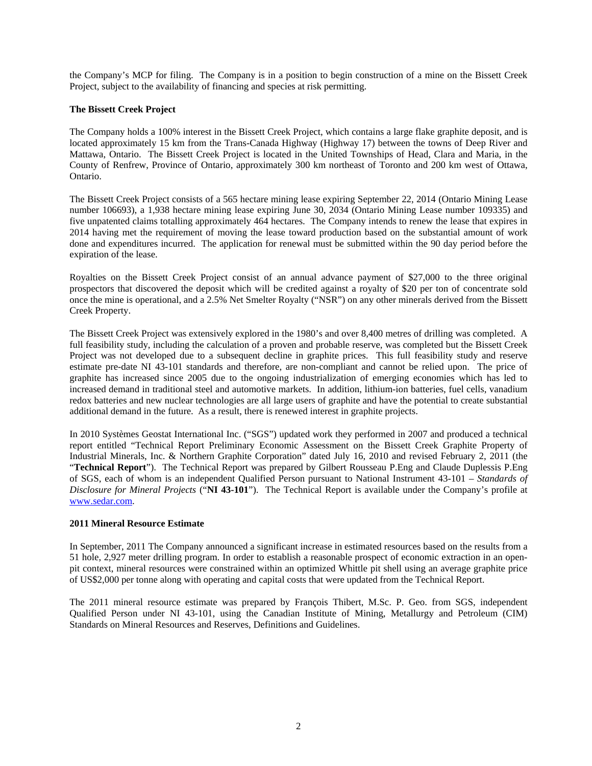the Company's MCP for filing. The Company is in a position to begin construction of a mine on the Bissett Creek Project, subject to the availability of financing and species at risk permitting.

# **The Bissett Creek Project**

The Company holds a 100% interest in the Bissett Creek Project, which contains a large flake graphite deposit, and is located approximately 15 km from the Trans-Canada Highway (Highway 17) between the towns of Deep River and Mattawa, Ontario. The Bissett Creek Project is located in the United Townships of Head, Clara and Maria, in the County of Renfrew, Province of Ontario, approximately 300 km northeast of Toronto and 200 km west of Ottawa, Ontario.

The Bissett Creek Project consists of a 565 hectare mining lease expiring September 22, 2014 (Ontario Mining Lease number 106693), a 1,938 hectare mining lease expiring June 30, 2034 (Ontario Mining Lease number 109335) and five unpatented claims totalling approximately 464 hectares. The Company intends to renew the lease that expires in 2014 having met the requirement of moving the lease toward production based on the substantial amount of work done and expenditures incurred. The application for renewal must be submitted within the 90 day period before the expiration of the lease.

Royalties on the Bissett Creek Project consist of an annual advance payment of \$27,000 to the three original prospectors that discovered the deposit which will be credited against a royalty of \$20 per ton of concentrate sold once the mine is operational, and a 2.5% Net Smelter Royalty ("NSR") on any other minerals derived from the Bissett Creek Property.

The Bissett Creek Project was extensively explored in the 1980's and over 8,400 metres of drilling was completed. A full feasibility study, including the calculation of a proven and probable reserve, was completed but the Bissett Creek Project was not developed due to a subsequent decline in graphite prices. This full feasibility study and reserve estimate pre-date NI 43-101 standards and therefore, are non-compliant and cannot be relied upon. The price of graphite has increased since 2005 due to the ongoing industrialization of emerging economies which has led to increased demand in traditional steel and automotive markets. In addition, lithium-ion batteries, fuel cells, vanadium redox batteries and new nuclear technologies are all large users of graphite and have the potential to create substantial additional demand in the future. As a result, there is renewed interest in graphite projects.

In 2010 Systèmes Geostat International Inc. ("SGS") updated work they performed in 2007 and produced a technical report entitled "Technical Report Preliminary Economic Assessment on the Bissett Creek Graphite Property of Industrial Minerals, Inc. & Northern Graphite Corporation" dated July 16, 2010 and revised February 2, 2011 (the "**Technical Report**"). The Technical Report was prepared by Gilbert Rousseau P.Eng and Claude Duplessis P.Eng of SGS, each of whom is an independent Qualified Person pursuant to National Instrument 43-101 – *Standards of Disclosure for Mineral Projects* ("**NI 43-101**"). The Technical Report is available under the Company's profile at www.sedar.com.

# **2011 Mineral Resource Estimate**

In September, 2011 The Company announced a significant increase in estimated resources based on the results from a 51 hole, 2,927 meter drilling program. In order to establish a reasonable prospect of economic extraction in an openpit context, mineral resources were constrained within an optimized Whittle pit shell using an average graphite price of US\$2,000 per tonne along with operating and capital costs that were updated from the Technical Report.

The 2011 mineral resource estimate was prepared by François Thibert, M.Sc. P. Geo. from SGS, independent Qualified Person under NI 43-101, using the Canadian Institute of Mining, Metallurgy and Petroleum (CIM) Standards on Mineral Resources and Reserves, Definitions and Guidelines.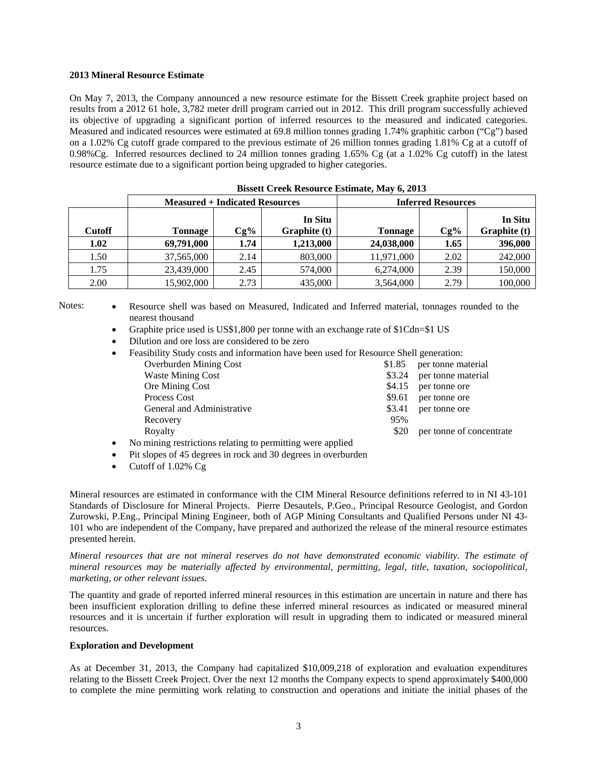# **2013 Mineral Resource Estimate**

On May 7, 2013, the Company announced a new resource estimate for the Bissett Creek graphite project based on results from a 2012 61 hole, 3,782 meter drill program carried out in 2012. This drill program successfully achieved its objective of upgrading a significant portion of inferred resources to the measured and indicated categories. Measured and indicated resources were estimated at 69.8 million tonnes grading 1.74% graphitic carbon ("Cg") based on a 1.02% Cg cutoff grade compared to the previous estimate of 26 million tonnes grading 1.81% Cg at a cutoff of 0.98%Cg. Inferred resources declined to 24 million tonnes grading 1.65% Cg (at a 1.02% Cg cutoff) in the latest resource estimate due to a significant portion being upgraded to higher categories.

|               | <b>Dissett Creek Acsource Estimate, Flay 0, 2010</b> |        |                                |                           |        |                         |
|---------------|------------------------------------------------------|--------|--------------------------------|---------------------------|--------|-------------------------|
|               | <b>Measured + Indicated Resources</b>                |        |                                | <b>Inferred Resources</b> |        |                         |
| <b>Cutoff</b> | Tonnage                                              | $Cg\%$ | In Situ<br><b>Graphite</b> (t) | Tonnage                   | $Cg\%$ | In Situ<br>Graphite (t) |
| 1.02          | 69,791,000                                           | 1.74   | 1,213,000                      | 24,038,000                | 1.65   | 396,000                 |
| 1.50          | 37,565,000                                           | 2.14   | 803,000                        | 11,971,000                | 2.02   | 242,000                 |
| 1.75          | 23,439,000                                           | 2.45   | 574,000                        | 6,274,000                 | 2.39   | 150,000                 |
| 2.00          | 15,902,000                                           | 2.73   | 435,000                        | 3,564,000                 | 2.79   | 100,000                 |

**Bissett Creek Resource Estimate, May 6, 2013** 

Notes: • Resource shell was based on Measured, Indicated and Inferred material, tonnages rounded to the nearest thousand

- Graphite price used is US\$1,800 per tonne with an exchange rate of \$1Cdn=\$1 US
- Dilution and ore loss are considered to be zero
- Feasibility Study costs and information have been used for Resource Shell generation:

| <b>Overburden Mining Cost</b>                                                                                    | \$1.85 | per tonne material       |
|------------------------------------------------------------------------------------------------------------------|--------|--------------------------|
| <b>Waste Mining Cost</b>                                                                                         | \$3.24 | per tonne material       |
| Ore Mining Cost                                                                                                  | \$4.15 | per tonne ore            |
| Process Cost                                                                                                     | \$9.61 | per tonne ore            |
| General and Administrative                                                                                       | \$3.41 | per tonne ore            |
| Recovery                                                                                                         | 95%    |                          |
| Royalty                                                                                                          | \$20   | per tonne of concentrate |
| $\mathbf{1}$ . The contribution of the contribution of the contribution of the contribution of $\mathbf{1}$ . If |        |                          |

- No mining restrictions relating to permitting were applied
- Pit slopes of 45 degrees in rock and 30 degrees in overburden
- Cutoff of 1.02% Cg

Mineral resources are estimated in conformance with the CIM Mineral Resource definitions referred to in NI 43-101 Standards of Disclosure for Mineral Projects. Pierre Desautels, P.Geo., Principal Resource Geologist, and Gordon Zurowski, P.Eng., Principal Mining Engineer, both of AGP Mining Consultants and Qualified Persons under NI 43- 101 who are independent of the Company, have prepared and authorized the release of the mineral resource estimates presented herein.

*Mineral resources that are not mineral reserves do not have demonstrated economic viability. The estimate of mineral resources may be materially affected by environmental, permitting, legal, title, taxation, sociopolitical, marketing, or other relevant issues.* 

The quantity and grade of reported inferred mineral resources in this estimation are uncertain in nature and there has been insufficient exploration drilling to define these inferred mineral resources as indicated or measured mineral resources and it is uncertain if further exploration will result in upgrading them to indicated or measured mineral resources.

# **Exploration and Development**

As at December 31, 2013, the Company had capitalized \$10,009,218 of exploration and evaluation expenditures relating to the Bissett Creek Project. Over the next 12 months the Company expects to spend approximately \$400,000 to complete the mine permitting work relating to construction and operations and initiate the initial phases of the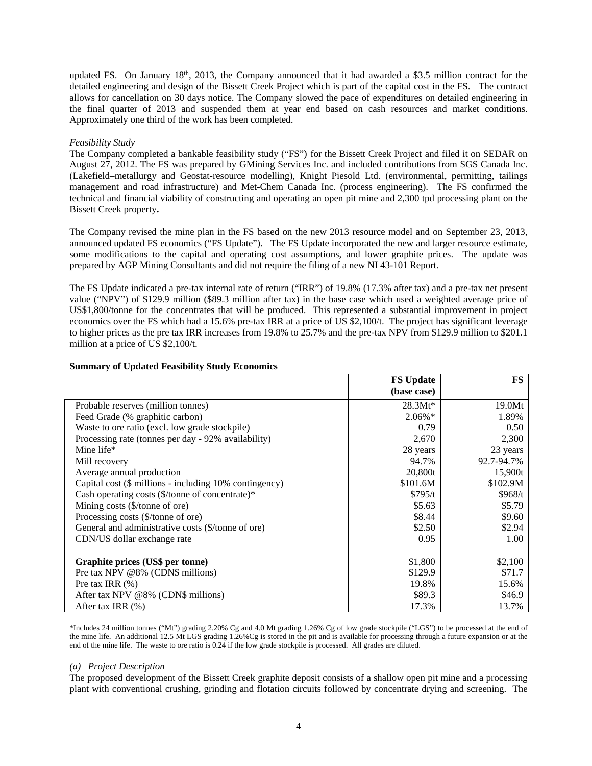updated FS. On January  $18<sup>th</sup>$ , 2013, the Company announced that it had awarded a \$3.5 million contract for the detailed engineering and design of the Bissett Creek Project which is part of the capital cost in the FS. The contract allows for cancellation on 30 days notice. The Company slowed the pace of expenditures on detailed engineering in the final quarter of 2013 and suspended them at year end based on cash resources and market conditions. Approximately one third of the work has been completed.

# *Feasibility Study*

The Company completed a bankable feasibility study ("FS") for the Bissett Creek Project and filed it on SEDAR on August 27, 2012. The FS was prepared by GMining Services Inc. and included contributions from SGS Canada Inc. (Lakefield–metallurgy and Geostat-resource modelling), Knight Piesold Ltd. (environmental, permitting, tailings management and road infrastructure) and Met-Chem Canada Inc. (process engineering). The FS confirmed the technical and financial viability of constructing and operating an open pit mine and 2,300 tpd processing plant on the Bissett Creek property**.**

The Company revised the mine plan in the FS based on the new 2013 resource model and on September 23, 2013, announced updated FS economics ("FS Update"). The FS Update incorporated the new and larger resource estimate, some modifications to the capital and operating cost assumptions, and lower graphite prices. The update was prepared by AGP Mining Consultants and did not require the filing of a new NI 43-101 Report.

The FS Update indicated a pre-tax internal rate of return ("IRR") of 19.8% (17.3% after tax) and a pre-tax net present value ("NPV") of \$129.9 million (\$89.3 million after tax) in the base case which used a weighted average price of US\$1,800/tonne for the concentrates that will be produced. This represented a substantial improvement in project economics over the FS which had a 15.6% pre-tax IRR at a price of US \$2,100/t. The project has significant leverage to higher prices as the pre tax IRR increases from 19.8% to 25.7% and the pre-tax NPV from \$129.9 million to \$201.1 million at a price of US \$2,100/t.

|                                                        | <b>FS Update</b> | <b>FS</b>  |
|--------------------------------------------------------|------------------|------------|
|                                                        | (base case)      |            |
| Probable reserves (million tonnes)                     | $28.3Mt*$        | 19.0Mt     |
| Feed Grade (% graphitic carbon)                        | $2.06\%*$        | 1.89%      |
| Waste to ore ratio (excl. low grade stockpile)         | 0.79             | 0.50       |
| Processing rate (tonnes per day - 92% availability)    | 2,670            | 2,300      |
| Mine life*                                             | 28 years         | 23 years   |
| Mill recovery                                          | 94.7%            | 92.7-94.7% |
| Average annual production                              | 20,800t          | 15,900t    |
| Capital cost (\$ millions - including 10% contingency) | \$101.6M         | \$102.9M   |
| Cash operating costs (\$/tonne of concentrate)*        | \$795/t          | \$968/t    |
| Mining costs (\$/tonne of ore)                         | \$5.63           | \$5.79     |
| Processing costs (\$/tonne of ore)                     | \$8.44           | \$9.60     |
| General and administrative costs (\$/tonne of ore)     | \$2.50           | \$2.94     |
| CDN/US dollar exchange rate                            | 0.95             | 1.00       |
|                                                        |                  |            |
| Graphite prices (US\$ per tonne)                       | \$1,800          | \$2,100    |
| Pre tax NPV @8% (CDN\$ millions)                       | \$129.9          | \$71.7     |
| Pre tax IRR $(\%)$                                     | 19.8%            | 15.6%      |
| After tax NPV @8% (CDN\$ millions)                     | \$89.3           | \$46.9     |
| After tax IRR (%)                                      | 17.3%            | 13.7%      |

# **Summary of Updated Feasibility Study Economics**

\*Includes 24 million tonnes ("Mt") grading 2.20% Cg and 4.0 Mt grading 1.26% Cg of low grade stockpile ("LGS") to be processed at the end of the mine life. An additional 12.5 Mt LGS grading 1.26%Cg is stored in the pit and is available for processing through a future expansion or at the end of the mine life. The waste to ore ratio is 0.24 if the low grade stockpile is processed. All grades are diluted.

# *(a) Project Description*

The proposed development of the Bissett Creek graphite deposit consists of a shallow open pit mine and a processing plant with conventional crushing, grinding and flotation circuits followed by concentrate drying and screening. The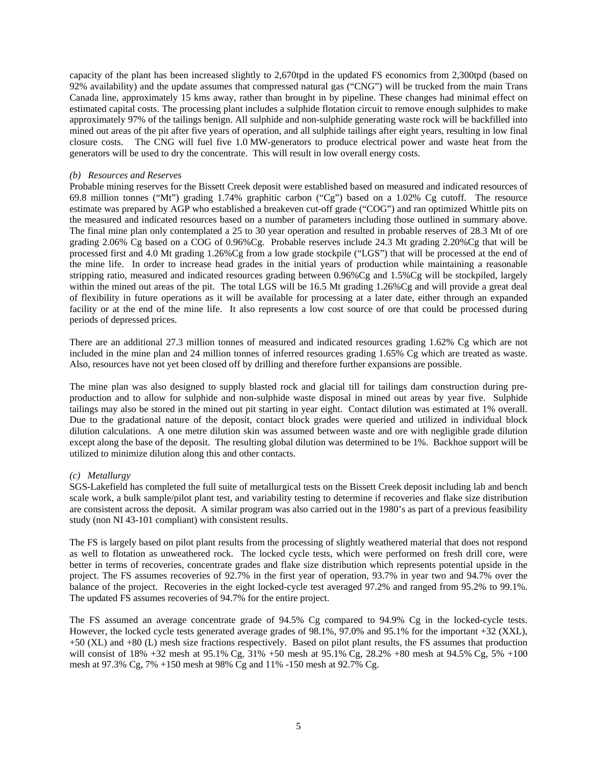capacity of the plant has been increased slightly to 2,670tpd in the updated FS economics from 2,300tpd (based on 92% availability) and the update assumes that compressed natural gas ("CNG") will be trucked from the main Trans Canada line, approximately 15 kms away, rather than brought in by pipeline. These changes had minimal effect on estimated capital costs. The processing plant includes a sulphide flotation circuit to remove enough sulphides to make approximately 97% of the tailings benign. All sulphide and non-sulphide generating waste rock will be backfilled into mined out areas of the pit after five years of operation, and all sulphide tailings after eight years, resulting in low final closure costs. The CNG will fuel five 1.0 MW-generators to produce electrical power and waste heat from the generators will be used to dry the concentrate. This will result in low overall energy costs.

# *(b) Resources and Reserves*

Probable mining reserves for the Bissett Creek deposit were established based on measured and indicated resources of 69.8 million tonnes ("Mt") grading 1.74% graphitic carbon ("Cg") based on a 1.02% Cg cutoff. The resource estimate was prepared by AGP who established a breakeven cut-off grade ("COG") and ran optimized Whittle pits on the measured and indicated resources based on a number of parameters including those outlined in summary above. The final mine plan only contemplated a 25 to 30 year operation and resulted in probable reserves of 28.3 Mt of ore grading 2.06% Cg based on a COG of 0.96%Cg. Probable reserves include 24.3 Mt grading 2.20%Cg that will be processed first and 4.0 Mt grading 1.26%Cg from a low grade stockpile ("LGS") that will be processed at the end of the mine life. In order to increase head grades in the initial years of production while maintaining a reasonable stripping ratio, measured and indicated resources grading between 0.96%Cg and 1.5%Cg will be stockpiled, largely within the mined out areas of the pit. The total LGS will be 16.5 Mt grading 1.26%Cg and will provide a great deal of flexibility in future operations as it will be available for processing at a later date, either through an expanded facility or at the end of the mine life. It also represents a low cost source of ore that could be processed during periods of depressed prices.

There are an additional 27.3 million tonnes of measured and indicated resources grading 1.62% Cg which are not included in the mine plan and 24 million tonnes of inferred resources grading 1.65% Cg which are treated as waste. Also, resources have not yet been closed off by drilling and therefore further expansions are possible.

The mine plan was also designed to supply blasted rock and glacial till for tailings dam construction during preproduction and to allow for sulphide and non-sulphide waste disposal in mined out areas by year five. Sulphide tailings may also be stored in the mined out pit starting in year eight. Contact dilution was estimated at 1% overall. Due to the gradational nature of the deposit, contact block grades were queried and utilized in individual block dilution calculations. A one metre dilution skin was assumed between waste and ore with negligible grade dilution except along the base of the deposit. The resulting global dilution was determined to be 1%. Backhoe support will be utilized to minimize dilution along this and other contacts.

# *(c) Metallurgy*

SGS-Lakefield has completed the full suite of metallurgical tests on the Bissett Creek deposit including lab and bench scale work, a bulk sample/pilot plant test, and variability testing to determine if recoveries and flake size distribution are consistent across the deposit. A similar program was also carried out in the 1980's as part of a previous feasibility study (non NI 43-101 compliant) with consistent results.

The FS is largely based on pilot plant results from the processing of slightly weathered material that does not respond as well to flotation as unweathered rock. The locked cycle tests, which were performed on fresh drill core, were better in terms of recoveries, concentrate grades and flake size distribution which represents potential upside in the project. The FS assumes recoveries of 92.7% in the first year of operation, 93.7% in year two and 94.7% over the balance of the project. Recoveries in the eight locked-cycle test averaged 97.2% and ranged from 95.2% to 99.1%. The updated FS assumes recoveries of 94.7% for the entire project.

The FS assumed an average concentrate grade of 94.5% Cg compared to 94.9% Cg in the locked-cycle tests. However, the locked cycle tests generated average grades of 98.1%, 97.0% and 95.1% for the important +32 (XXL), +50 (XL) and +80 (L) mesh size fractions respectively. Based on pilot plant results, the FS assumes that production will consist of 18% +32 mesh at 95.1% Cg, 31% +50 mesh at 95.1% Cg, 28.2% +80 mesh at 94.5% Cg, 5% +100 mesh at 97.3% Cg, 7% +150 mesh at 98% Cg and 11% -150 mesh at 92.7% Cg.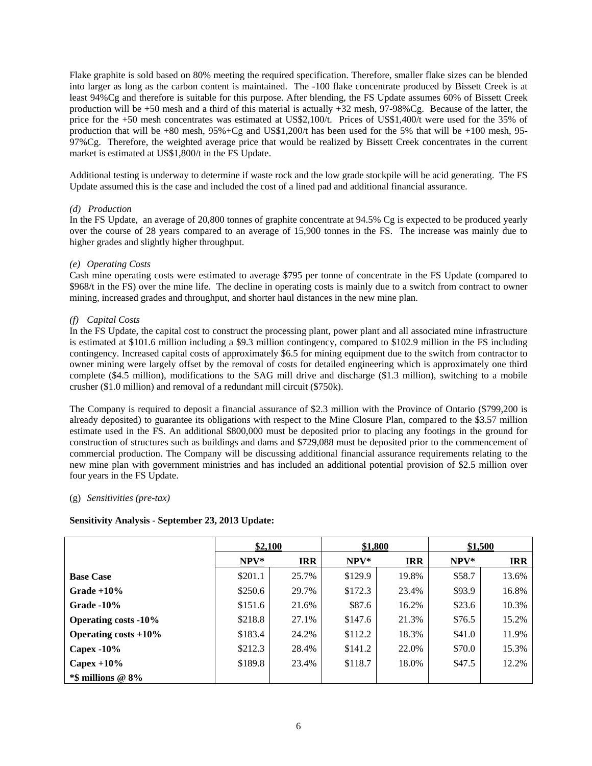Flake graphite is sold based on 80% meeting the required specification. Therefore, smaller flake sizes can be blended into larger as long as the carbon content is maintained. The -100 flake concentrate produced by Bissett Creek is at least 94%Cg and therefore is suitable for this purpose. After blending, the FS Update assumes 60% of Bissett Creek production will be +50 mesh and a third of this material is actually +32 mesh, 97-98%Cg. Because of the latter, the price for the +50 mesh concentrates was estimated at US\$2,100/t. Prices of US\$1,400/t were used for the 35% of production that will be +80 mesh, 95%+Cg and US\$1,200/t has been used for the 5% that will be +100 mesh, 95- 97%Cg. Therefore, the weighted average price that would be realized by Bissett Creek concentrates in the current market is estimated at US\$1,800/t in the FS Update.

Additional testing is underway to determine if waste rock and the low grade stockpile will be acid generating. The FS Update assumed this is the case and included the cost of a lined pad and additional financial assurance.

# *(d) Production*

In the FS Update, an average of 20,800 tonnes of graphite concentrate at 94.5% Cg is expected to be produced yearly over the course of 28 years compared to an average of 15,900 tonnes in the FS. The increase was mainly due to higher grades and slightly higher throughput.

# *(e) Operating Costs*

Cash mine operating costs were estimated to average \$795 per tonne of concentrate in the FS Update (compared to \$968/t in the FS) over the mine life. The decline in operating costs is mainly due to a switch from contract to owner mining, increased grades and throughput, and shorter haul distances in the new mine plan.

# *(f) Capital Costs*

In the FS Update, the capital cost to construct the processing plant, power plant and all associated mine infrastructure is estimated at \$101.6 million including a \$9.3 million contingency, compared to \$102.9 million in the FS including contingency. Increased capital costs of approximately \$6.5 for mining equipment due to the switch from contractor to owner mining were largely offset by the removal of costs for detailed engineering which is approximately one third complete (\$4.5 million), modifications to the SAG mill drive and discharge (\$1.3 million), switching to a mobile crusher (\$1.0 million) and removal of a redundant mill circuit (\$750k).

The Company is required to deposit a financial assurance of \$2.3 million with the Province of Ontario (\$799,200 is already deposited) to guarantee its obligations with respect to the Mine Closure Plan, compared to the \$3.57 million estimate used in the FS. An additional \$800,000 must be deposited prior to placing any footings in the ground for construction of structures such as buildings and dams and \$729,088 must be deposited prior to the commencement of commercial production. The Company will be discussing additional financial assurance requirements relating to the new mine plan with government ministries and has included an additional potential provision of \$2.5 million over four years in the FS Update.

# (g) *Sensitivities (pre-tax)*

# **Sensitivity Analysis - September 23, 2013 Update:**

|                             | \$2,100 |            | \$1,800 |            | \$1,500 |            |
|-----------------------------|---------|------------|---------|------------|---------|------------|
|                             | $NPV^*$ | <b>IRR</b> | NPV*    | <b>IRR</b> | NPV*    | <b>IRR</b> |
| <b>Base Case</b>            | \$201.1 | 25.7%      | \$129.9 | 19.8%      | \$58.7  | 13.6%      |
| Grade $+10\%$               | \$250.6 | 29.7%      | \$172.3 | 23.4%      | \$93.9  | 16.8%      |
| Grade $-10\%$               | \$151.6 | 21.6%      | \$87.6  | 16.2%      | \$23.6  | 10.3%      |
| <b>Operating costs -10%</b> | \$218.8 | 27.1%      | \$147.6 | 21.3%      | \$76.5  | 15.2%      |
| Operating costs $+10\%$     | \$183.4 | 24.2%      | \$112.2 | 18.3%      | \$41.0  | 11.9%      |
| Capex $-10\%$               | \$212.3 | 28.4%      | \$141.2 | 22.0%      | \$70.0  | 15.3%      |
| Capex $+10\%$               | \$189.8 | 23.4%      | \$118.7 | 18.0%      | \$47.5  | 12.2%      |
| $*$ \$ millions @ 8\%       |         |            |         |            |         |            |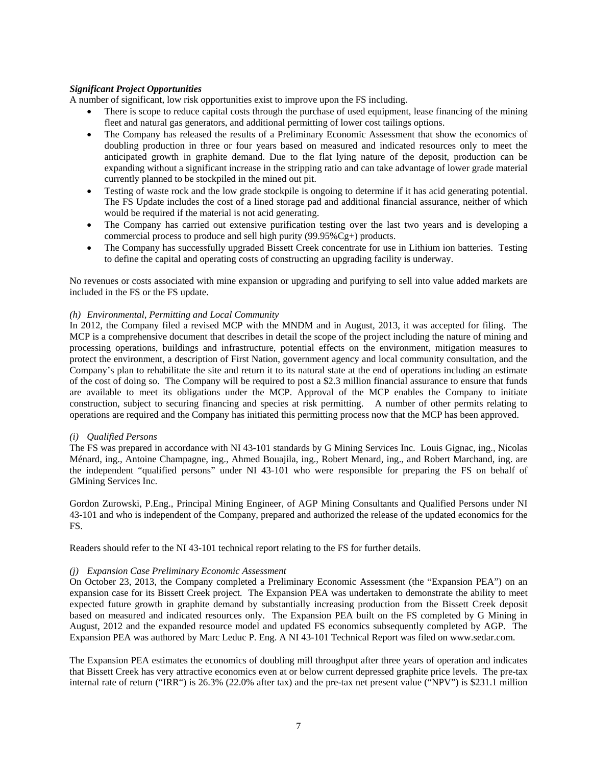# *Significant Project Opportunities*

A number of significant, low risk opportunities exist to improve upon the FS including.

- There is scope to reduce capital costs through the purchase of used equipment, lease financing of the mining fleet and natural gas generators, and additional permitting of lower cost tailings options.
- The Company has released the results of a Preliminary Economic Assessment that show the economics of doubling production in three or four years based on measured and indicated resources only to meet the anticipated growth in graphite demand. Due to the flat lying nature of the deposit, production can be expanding without a significant increase in the stripping ratio and can take advantage of lower grade material currently planned to be stockpiled in the mined out pit.
- Testing of waste rock and the low grade stockpile is ongoing to determine if it has acid generating potential. The FS Update includes the cost of a lined storage pad and additional financial assurance, neither of which would be required if the material is not acid generating.
- The Company has carried out extensive purification testing over the last two years and is developing a commercial process to produce and sell high purity (99.95%Cg+) products.
- The Company has successfully upgraded Bissett Creek concentrate for use in Lithium ion batteries. Testing to define the capital and operating costs of constructing an upgrading facility is underway.

No revenues or costs associated with mine expansion or upgrading and purifying to sell into value added markets are included in the FS or the FS update.

# *(h) Environmental, Permitting and Local Community*

In 2012, the Company filed a revised MCP with the MNDM and in August, 2013, it was accepted for filing. The MCP is a comprehensive document that describes in detail the scope of the project including the nature of mining and processing operations, buildings and infrastructure, potential effects on the environment, mitigation measures to protect the environment, a description of First Nation, government agency and local community consultation, and the Company's plan to rehabilitate the site and return it to its natural state at the end of operations including an estimate of the cost of doing so. The Company will be required to post a \$2.3 million financial assurance to ensure that funds are available to meet its obligations under the MCP. Approval of the MCP enables the Company to initiate construction, subject to securing financing and species at risk permitting. A number of other permits relating to operations are required and the Company has initiated this permitting process now that the MCP has been approved.

# *(i) Qualified Persons*

The FS was prepared in accordance with NI 43-101 standards by G Mining Services Inc. Louis Gignac, ing., Nicolas Ménard, ing., Antoine Champagne, ing., Ahmed Bouajila, ing., Robert Menard, ing., and Robert Marchand, ing. are the independent "qualified persons" under NI 43-101 who were responsible for preparing the FS on behalf of GMining Services Inc.

Gordon Zurowski, P.Eng., Principal Mining Engineer, of AGP Mining Consultants and Qualified Persons under NI 43-101 and who is independent of the Company, prepared and authorized the release of the updated economics for the FS.

Readers should refer to the NI 43-101 technical report relating to the FS for further details.

# *(j) Expansion Case Preliminary Economic Assessment*

On October 23, 2013, the Company completed a Preliminary Economic Assessment (the "Expansion PEA") on an expansion case for its Bissett Creek project. The Expansion PEA was undertaken to demonstrate the ability to meet expected future growth in graphite demand by substantially increasing production from the Bissett Creek deposit based on measured and indicated resources only. The Expansion PEA built on the FS completed by G Mining in August, 2012 and the expanded resource model and updated FS economics subsequently completed by AGP. The Expansion PEA was authored by Marc Leduc P. Eng. A NI 43-101 Technical Report was filed on www.sedar.com.

The Expansion PEA estimates the economics of doubling mill throughput after three years of operation and indicates that Bissett Creek has very attractive economics even at or below current depressed graphite price levels. The pre-tax internal rate of return ("IRR") is 26.3% (22.0% after tax) and the pre-tax net present value ("NPV") is \$231.1 million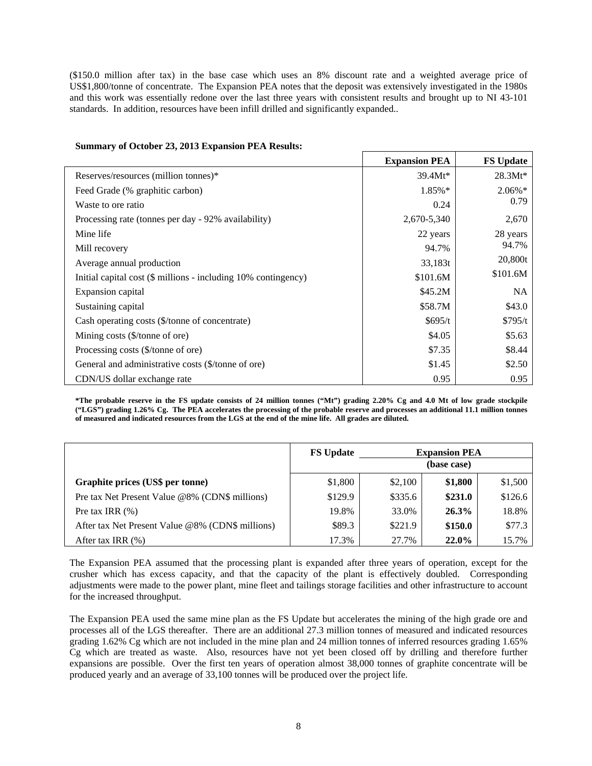(\$150.0 million after tax) in the base case which uses an 8% discount rate and a weighted average price of US\$1,800/tonne of concentrate. The Expansion PEA notes that the deposit was extensively investigated in the 1980s and this work was essentially redone over the last three years with consistent results and brought up to NI 43-101 standards. In addition, resources have been infill drilled and significantly expanded..

|                                                                | <b>Expansion PEA</b> | <b>FS Update</b> |
|----------------------------------------------------------------|----------------------|------------------|
| Reserves/resources (million tonnes)*                           | $39.4Mt*$            | $28.3Mt*$        |
| Feed Grade (% graphitic carbon)                                | 1.85%*               | 2.06%*           |
| Waste to ore ratio                                             | 0.24                 | 0.79             |
| Processing rate (tonnes per day - 92% availability)            | 2,670-5,340          | 2,670            |
| Mine life                                                      | 22 years             | 28 years         |
| Mill recovery                                                  | 94.7%                | 94.7%            |
| Average annual production                                      | 33,183t              | 20,800t          |
| Initial capital cost (\$ millions - including 10% contingency) | \$101.6M             | \$101.6M         |
| Expansion capital                                              | \$45.2M              | NA.              |
| Sustaining capital                                             | \$58.7M              | \$43.0           |
| Cash operating costs (\$/tonne of concentrate)                 | \$695/t              | \$795/t          |
| Mining costs (\$/tonne of ore)                                 | \$4.05               | \$5.63           |
| Processing costs (\$/tonne of ore)                             | \$7.35               | \$8.44           |
| General and administrative costs (\$/tonne of ore)             | \$1.45               | \$2.50           |
| CDN/US dollar exchange rate                                    | 0.95                 | 0.95             |

# **Summary of October 23, 2013 Expansion PEA Results:**

**\*The probable reserve in the FS update consists of 24 million tonnes ("Mt") grading 2.20% Cg and 4.0 Mt of low grade stockpile ("LGS") grading 1.26% Cg. The PEA accelerates the processing of the probable reserve and processes an additional 11.1 million tonnes of measured and indicated resources from the LGS at the end of the mine life. All grades are diluted.** 

|                                                  | <b>FS Update</b> | <b>Expansion PEA</b><br>(base case) |         |         |
|--------------------------------------------------|------------------|-------------------------------------|---------|---------|
| Graphite prices (US\$ per tonne)                 | \$1,800          | \$2,100                             | \$1,800 | \$1,500 |
| Pre tax Net Present Value @8% (CDN\$ millions)   | \$129.9          | \$335.6                             | \$231.0 | \$126.6 |
| Pre tax IRR $(\%)$                               | 19.8%            | 33.0%                               | 26.3%   | 18.8%   |
| After tax Net Present Value @8% (CDN\$ millions) | \$89.3           | \$221.9                             | \$150.0 | \$77.3  |
| After tax IRR $(\%)$                             | 17.3%            | 27.7%                               | 22.0%   | 15.7%   |

The Expansion PEA assumed that the processing plant is expanded after three years of operation, except for the crusher which has excess capacity, and that the capacity of the plant is effectively doubled. Corresponding adjustments were made to the power plant, mine fleet and tailings storage facilities and other infrastructure to account for the increased throughput.

The Expansion PEA used the same mine plan as the FS Update but accelerates the mining of the high grade ore and processes all of the LGS thereafter. There are an additional 27.3 million tonnes of measured and indicated resources grading 1.62% Cg which are not included in the mine plan and 24 million tonnes of inferred resources grading 1.65% Cg which are treated as waste. Also, resources have not yet been closed off by drilling and therefore further expansions are possible. Over the first ten years of operation almost 38,000 tonnes of graphite concentrate will be produced yearly and an average of 33,100 tonnes will be produced over the project life.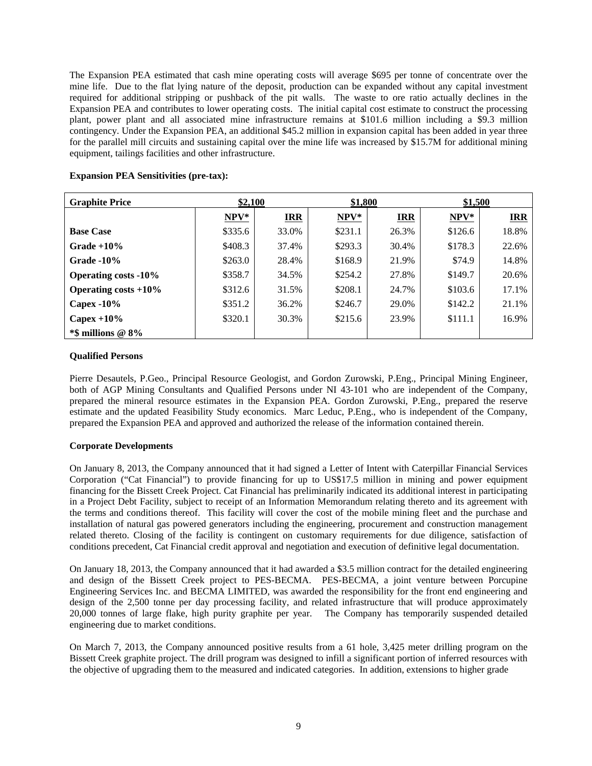The Expansion PEA estimated that cash mine operating costs will average \$695 per tonne of concentrate over the mine life. Due to the flat lying nature of the deposit, production can be expanded without any capital investment required for additional stripping or pushback of the pit walls. The waste to ore ratio actually declines in the Expansion PEA and contributes to lower operating costs. The initial capital cost estimate to construct the processing plant, power plant and all associated mine infrastructure remains at \$101.6 million including a \$9.3 million contingency. Under the Expansion PEA, an additional \$45.2 million in expansion capital has been added in year three for the parallel mill circuits and sustaining capital over the mine life was increased by \$15.7M for additional mining equipment, tailings facilities and other infrastructure.

| <b>Graphite Price</b>       | \$2,100 |            | \$1,800 |            | \$1,500 |            |
|-----------------------------|---------|------------|---------|------------|---------|------------|
|                             | $NPV^*$ | <b>IRR</b> | $NPV*$  | <b>IRR</b> | $NPV^*$ | <b>IRR</b> |
| <b>Base Case</b>            | \$335.6 | 33.0%      | \$231.1 | 26.3%      | \$126.6 | 18.8%      |
| Grade $+10\%$               | \$408.3 | 37.4%      | \$293.3 | 30.4%      | \$178.3 | 22.6%      |
| Grade $-10\%$               | \$263.0 | 28.4%      | \$168.9 | 21.9%      | \$74.9  | 14.8%      |
| <b>Operating costs -10%</b> | \$358.7 | 34.5%      | \$254.2 | 27.8%      | \$149.7 | 20.6%      |
| Operating costs $+10\%$     | \$312.6 | 31.5%      | \$208.1 | 24.7%      | \$103.6 | 17.1%      |
| Capex $-10\%$               | \$351.2 | 36.2%      | \$246.7 | 29.0%      | \$142.2 | 21.1%      |
| Capex $+10\%$               | \$320.1 | 30.3%      | \$215.6 | 23.9%      | \$111.1 | 16.9%      |
| $*$ \$ millions @ 8%        |         |            |         |            |         |            |

# **Expansion PEA Sensitivities (pre-tax):**

# **Qualified Persons**

Pierre Desautels, P.Geo., Principal Resource Geologist, and Gordon Zurowski, P.Eng., Principal Mining Engineer, both of AGP Mining Consultants and Qualified Persons under NI 43-101 who are independent of the Company, prepared the mineral resource estimates in the Expansion PEA. Gordon Zurowski, P.Eng., prepared the reserve estimate and the updated Feasibility Study economics. Marc Leduc, P.Eng., who is independent of the Company, prepared the Expansion PEA and approved and authorized the release of the information contained therein.

# **Corporate Developments**

On January 8, 2013, the Company announced that it had signed a Letter of Intent with Caterpillar Financial Services Corporation ("Cat Financial") to provide financing for up to US\$17.5 million in mining and power equipment financing for the Bissett Creek Project. Cat Financial has preliminarily indicated its additional interest in participating in a Project Debt Facility, subject to receipt of an Information Memorandum relating thereto and its agreement with the terms and conditions thereof. This facility will cover the cost of the mobile mining fleet and the purchase and installation of natural gas powered generators including the engineering, procurement and construction management related thereto. Closing of the facility is contingent on customary requirements for due diligence, satisfaction of conditions precedent, Cat Financial credit approval and negotiation and execution of definitive legal documentation.

On January 18, 2013, the Company announced that it had awarded a \$3.5 million contract for the detailed engineering and design of the Bissett Creek project to PES-BECMA. PES-BECMA, a joint venture between Porcupine Engineering Services Inc. and BECMA LIMITED, was awarded the responsibility for the front end engineering and design of the 2,500 tonne per day processing facility, and related infrastructure that will produce approximately 20,000 tonnes of large flake, high purity graphite per year. The Company has temporarily suspended detailed engineering due to market conditions.

On March 7, 2013, the Company announced positive results from a 61 hole, 3,425 meter drilling program on the Bissett Creek graphite project. The drill program was designed to infill a significant portion of inferred resources with the objective of upgrading them to the measured and indicated categories. In addition, extensions to higher grade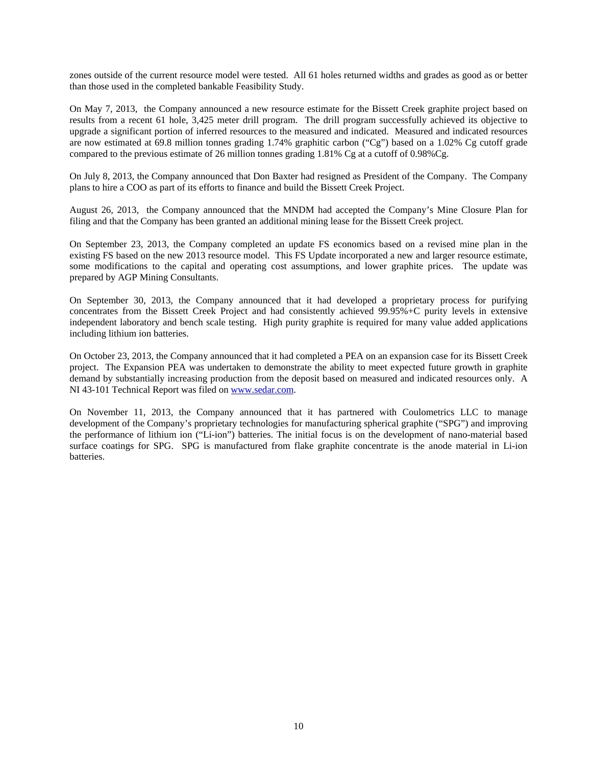zones outside of the current resource model were tested. All 61 holes returned widths and grades as good as or better than those used in the completed bankable Feasibility Study.

On May 7, 2013, the Company announced a new resource estimate for the Bissett Creek graphite project based on results from a recent 61 hole, 3,425 meter drill program. The drill program successfully achieved its objective to upgrade a significant portion of inferred resources to the measured and indicated. Measured and indicated resources are now estimated at 69.8 million tonnes grading 1.74% graphitic carbon ("Cg") based on a 1.02% Cg cutoff grade compared to the previous estimate of 26 million tonnes grading 1.81% Cg at a cutoff of 0.98%Cg.

On July 8, 2013, the Company announced that Don Baxter had resigned as President of the Company. The Company plans to hire a COO as part of its efforts to finance and build the Bissett Creek Project.

August 26, 2013, the Company announced that the MNDM had accepted the Company's Mine Closure Plan for filing and that the Company has been granted an additional mining lease for the Bissett Creek project.

On September 23, 2013, the Company completed an update FS economics based on a revised mine plan in the existing FS based on the new 2013 resource model. This FS Update incorporated a new and larger resource estimate, some modifications to the capital and operating cost assumptions, and lower graphite prices. The update was prepared by AGP Mining Consultants.

On September 30, 2013, the Company announced that it had developed a proprietary process for purifying concentrates from the Bissett Creek Project and had consistently achieved 99.95%+C purity levels in extensive independent laboratory and bench scale testing. High purity graphite is required for many value added applications including lithium ion batteries.

On October 23, 2013, the Company announced that it had completed a PEA on an expansion case for its Bissett Creek project. The Expansion PEA was undertaken to demonstrate the ability to meet expected future growth in graphite demand by substantially increasing production from the deposit based on measured and indicated resources only. A NI 43-101 Technical Report was filed on www.sedar.com.

On November 11, 2013, the Company announced that it has partnered with Coulometrics LLC to manage development of the Company's proprietary technologies for manufacturing spherical graphite ("SPG") and improving the performance of lithium ion ("Li-ion") batteries. The initial focus is on the development of nano-material based surface coatings for SPG. SPG is manufactured from flake graphite concentrate is the anode material in Li-ion batteries.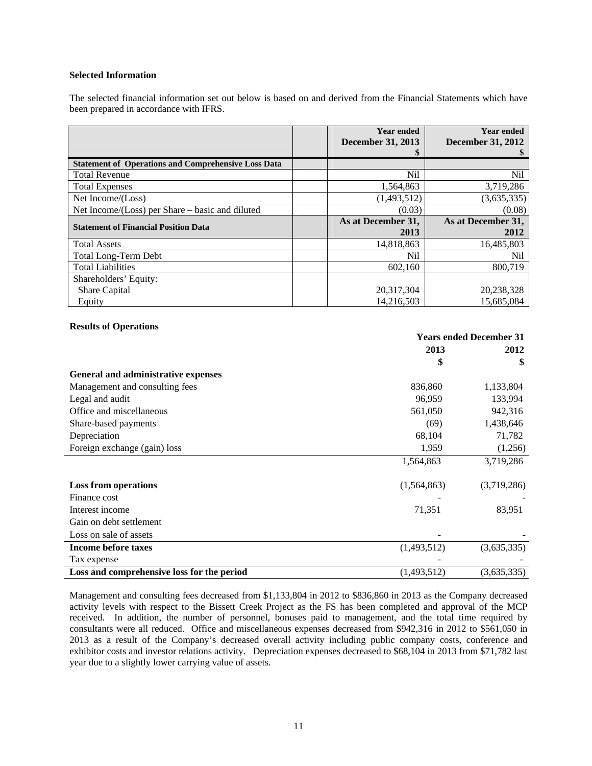# **Selected Information**

The selected financial information set out below is based on and derived from the Financial Statements which have been prepared in accordance with IFRS.

|                                                            | <b>Year ended</b>        | <b>Year ended</b>        |
|------------------------------------------------------------|--------------------------|--------------------------|
|                                                            | <b>December 31, 2013</b> | <b>December 31, 2012</b> |
|                                                            |                          |                          |
| <b>Statement of Operations and Comprehensive Loss Data</b> |                          |                          |
| <b>Total Revenue</b>                                       | Nil                      | Nil                      |
| <b>Total Expenses</b>                                      | 1,564,863                | 3,719,286                |
| Net Income/(Loss)                                          | (1,493,512)              | (3,635,335)              |
| Net Income/(Loss) per Share – basic and diluted            | (0.03)                   | (0.08)                   |
| <b>Statement of Financial Position Data</b>                | As at December 31,       | As at December 31,       |
|                                                            | 2013                     | 2012                     |
| <b>Total Assets</b>                                        | 14.818.863               | 16,485,803               |
| <b>Total Long-Term Debt</b>                                | Nil                      | Nil                      |
| <b>Total Liabilities</b>                                   | 602,160                  | 800.719                  |
| Shareholders' Equity:                                      |                          |                          |
| Share Capital                                              | 20,317,304               | 20,238,328               |
| Equity                                                     | 14,216,503               | 15.685.084               |

#### **Results of Operations**

|                                            | <b>Years ended December 31</b> |             |  |
|--------------------------------------------|--------------------------------|-------------|--|
|                                            | 2013                           | 2012        |  |
|                                            | \$                             | \$          |  |
| General and administrative expenses        |                                |             |  |
| Management and consulting fees             | 836,860                        | 1,133,804   |  |
| Legal and audit                            | 96,959                         | 133,994     |  |
| Office and miscellaneous                   | 561,050                        | 942,316     |  |
| Share-based payments                       | (69)                           | 1,438,646   |  |
| Depreciation                               | 68,104                         | 71,782      |  |
| Foreign exchange (gain) loss               | 1,959                          | (1,256)     |  |
|                                            | 1,564,863                      | 3,719,286   |  |
|                                            |                                |             |  |
| <b>Loss from operations</b>                | (1,564,863)                    | (3,719,286) |  |
| Finance cost                               |                                |             |  |
| Interest income                            | 71,351                         | 83,951      |  |
| Gain on debt settlement                    |                                |             |  |
| Loss on sale of assets                     |                                |             |  |
| <b>Income before taxes</b>                 | (1,493,512)                    | (3,635,335) |  |
| Tax expense                                |                                |             |  |
| Loss and comprehensive loss for the period | (1,493,512)                    | (3,635,335) |  |

Management and consulting fees decreased from \$1,133,804 in 2012 to \$836,860 in 2013 as the Company decreased activity levels with respect to the Bissett Creek Project as the FS has been completed and approval of the MCP received. In addition, the number of personnel, bonuses paid to management, and the total time required by consultants were all reduced. Office and miscellaneous expenses decreased from \$942,316 in 2012 to \$561,050 in 2013 as a result of the Company's decreased overall activity including public company costs, conference and exhibitor costs and investor relations activity. Depreciation expenses decreased to \$68,104 in 2013 from \$71,782 last year due to a slightly lower carrying value of assets.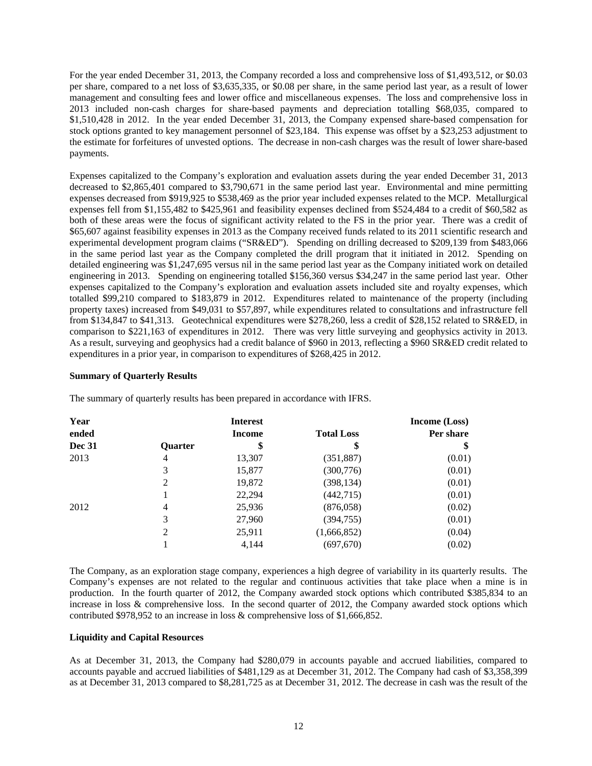For the year ended December 31, 2013, the Company recorded a loss and comprehensive loss of \$1,493,512, or \$0.03 per share, compared to a net loss of \$3,635,335, or \$0.08 per share, in the same period last year, as a result of lower management and consulting fees and lower office and miscellaneous expenses. The loss and comprehensive loss in 2013 included non-cash charges for share-based payments and depreciation totalling \$68,035, compared to \$1,510,428 in 2012. In the year ended December 31, 2013, the Company expensed share-based compensation for stock options granted to key management personnel of \$23,184. This expense was offset by a \$23,253 adjustment to the estimate for forfeitures of unvested options. The decrease in non-cash charges was the result of lower share-based payments.

Expenses capitalized to the Company's exploration and evaluation assets during the year ended December 31, 2013 decreased to \$2,865,401 compared to \$3,790,671 in the same period last year. Environmental and mine permitting expenses decreased from \$919,925 to \$538,469 as the prior year included expenses related to the MCP. Metallurgical expenses fell from \$1,155,482 to \$425,961 and feasibility expenses declined from \$524,484 to a credit of \$60,582 as both of these areas were the focus of significant activity related to the FS in the prior year. There was a credit of \$65,607 against feasibility expenses in 2013 as the Company received funds related to its 2011 scientific research and experimental development program claims ("SR&ED"). Spending on drilling decreased to \$209,139 from \$483,066 in the same period last year as the Company completed the drill program that it initiated in 2012. Spending on detailed engineering was \$1,247,695 versus nil in the same period last year as the Company initiated work on detailed engineering in 2013. Spending on engineering totalled \$156,360 versus \$34,247 in the same period last year. Other expenses capitalized to the Company's exploration and evaluation assets included site and royalty expenses, which totalled \$99,210 compared to \$183,879 in 2012. Expenditures related to maintenance of the property (including property taxes) increased from \$49,031 to \$57,897, while expenditures related to consultations and infrastructure fell from \$134,847 to \$41,313. Geotechnical expenditures were \$278,260, less a credit of \$28,152 related to SR&ED, in comparison to \$221,163 of expenditures in 2012. There was very little surveying and geophysics activity in 2013. As a result, surveying and geophysics had a credit balance of \$960 in 2013, reflecting a \$960 SR&ED credit related to expenditures in a prior year, in comparison to expenditures of \$268,425 in 2012.

# **Summary of Quarterly Results**

| Year          |         | <b>Interest</b> |                   | <b>Income</b> (Loss) |  |
|---------------|---------|-----------------|-------------------|----------------------|--|
| ended         |         | <b>Income</b>   | <b>Total Loss</b> | Per share            |  |
| <b>Dec 31</b> | Quarter | \$              | \$                | \$                   |  |
| 2013          | 4       | 13,307          | (351, 887)        | (0.01)               |  |
|               | 3       | 15,877          | (300, 776)        | (0.01)               |  |
|               | 2       | 19,872          | (398, 134)        | (0.01)               |  |
|               |         | 22,294          | (442, 715)        | (0.01)               |  |
| 2012          | 4       | 25,936          | (876,058)         | (0.02)               |  |
|               | 3       | 27,960          | (394, 755)        | (0.01)               |  |
|               | 2       | 25,911          | (1,666,852)       | (0.04)               |  |
|               |         | 4,144           | (697, 670)        | (0.02)               |  |

The summary of quarterly results has been prepared in accordance with IFRS.

The Company, as an exploration stage company, experiences a high degree of variability in its quarterly results. The Company's expenses are not related to the regular and continuous activities that take place when a mine is in production. In the fourth quarter of 2012, the Company awarded stock options which contributed \$385,834 to an increase in loss & comprehensive loss. In the second quarter of 2012, the Company awarded stock options which contributed \$978,952 to an increase in loss & comprehensive loss of \$1,666,852.

# **Liquidity and Capital Resources**

As at December 31, 2013, the Company had \$280,079 in accounts payable and accrued liabilities, compared to accounts payable and accrued liabilities of \$481,129 as at December 31, 2012. The Company had cash of \$3,358,399 as at December 31, 2013 compared to \$8,281,725 as at December 31, 2012. The decrease in cash was the result of the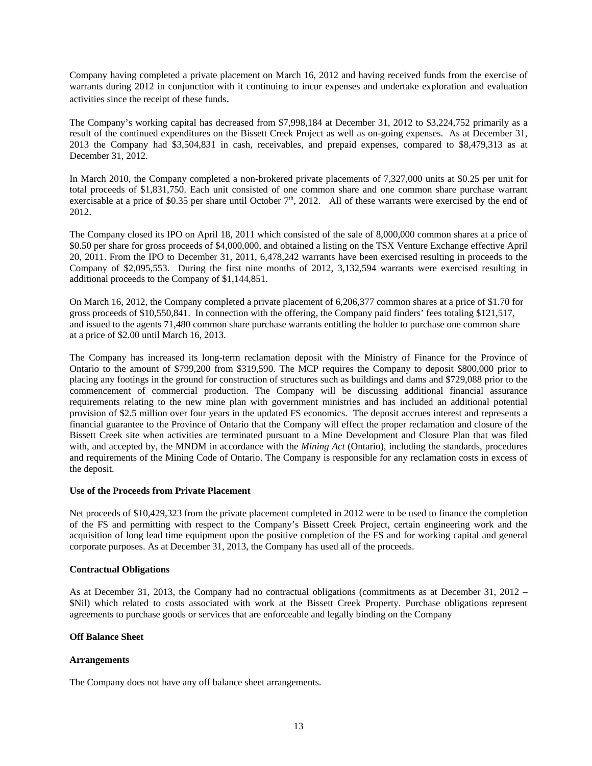Company having completed a private placement on March 16, 2012 and having received funds from the exercise of warrants during 2012 in conjunction with it continuing to incur expenses and undertake exploration and evaluation activities since the receipt of these funds.

The Company's working capital has decreased from \$7,998,184 at December 31, 2012 to \$3,224,752 primarily as a result of the continued expenditures on the Bissett Creek Project as well as on-going expenses. As at December 31, 2013 the Company had \$3,504,831 in cash, receivables, and prepaid expenses, compared to \$8,479,313 as at December 31, 2012.

In March 2010, the Company completed a non-brokered private placements of 7,327,000 units at \$0.25 per unit for total proceeds of \$1,831,750. Each unit consisted of one common share and one common share purchase warrant exercisable at a price of \$0.35 per share until October  $7<sup>th</sup>$ , 2012. All of these warrants were exercised by the end of 2012.

The Company closed its IPO on April 18, 2011 which consisted of the sale of 8,000,000 common shares at a price of \$0.50 per share for gross proceeds of \$4,000,000, and obtained a listing on the TSX Venture Exchange effective April 20, 2011. From the IPO to December 31, 2011, 6,478,242 warrants have been exercised resulting in proceeds to the Company of \$2,095,553. During the first nine months of 2012, 3,132,594 warrants were exercised resulting in additional proceeds to the Company of \$1,144,851.

On March 16, 2012, the Company completed a private placement of 6,206,377 common shares at a price of \$1.70 for gross proceeds of \$10,550,841. In connection with the offering, the Company paid finders' fees totaling \$121,517, and issued to the agents 71,480 common share purchase warrants entitling the holder to purchase one common share at a price of \$2.00 until March 16, 2013.

The Company has increased its long-term reclamation deposit with the Ministry of Finance for the Province of Ontario to the amount of \$799,200 from \$319,590. The MCP requires the Company to deposit \$800,000 prior to placing any footings in the ground for construction of structures such as buildings and dams and \$729,088 prior to the commencement of commercial production. The Company will be discussing additional financial assurance requirements relating to the new mine plan with government ministries and has included an additional potential provision of \$2.5 million over four years in the updated FS economics. The deposit accrues interest and represents a financial guarantee to the Province of Ontario that the Company will effect the proper reclamation and closure of the Bissett Creek site when activities are terminated pursuant to a Mine Development and Closure Plan that was filed with, and accepted by, the MNDM in accordance with the *Mining Act* (Ontario), including the standards, procedures and requirements of the Mining Code of Ontario. The Company is responsible for any reclamation costs in excess of the deposit.

# **Use of the Proceeds from Private Placement**

Net proceeds of \$10,429,323 from the private placement completed in 2012 were to be used to finance the completion of the FS and permitting with respect to the Company's Bissett Creek Project, certain engineering work and the acquisition of long lead time equipment upon the positive completion of the FS and for working capital and general corporate purposes. As at December 31, 2013, the Company has used all of the proceeds.

# **Contractual Obligations**

As at December 31, 2013, the Company had no contractual obligations (commitments as at December 31, 2012 – \$Nil) which related to costs associated with work at the Bissett Creek Property. Purchase obligations represent agreements to purchase goods or services that are enforceable and legally binding on the Company

# **Off Balance Sheet**

# **Arrangements**

The Company does not have any off balance sheet arrangements.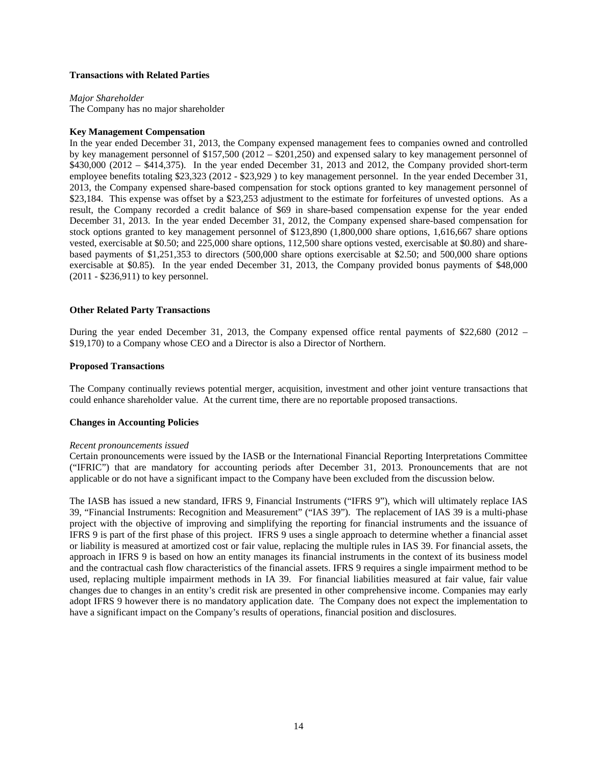# **Transactions with Related Parties**

*Major Shareholder*  The Company has no major shareholder

# **Key Management Compensation**

In the year ended December 31, 2013, the Company expensed management fees to companies owned and controlled by key management personnel of \$157,500 (2012 – \$201,250) and expensed salary to key management personnel of \$430,000 (2012 – \$414,375). In the year ended December 31, 2013 and 2012, the Company provided short-term employee benefits totaling \$23,323 (2012 - \$23,929 ) to key management personnel. In the year ended December 31, 2013, the Company expensed share-based compensation for stock options granted to key management personnel of \$23,184. This expense was offset by a \$23,253 adjustment to the estimate for forfeitures of unvested options. As a result, the Company recorded a credit balance of \$69 in share-based compensation expense for the year ended December 31, 2013. In the year ended December 31, 2012, the Company expensed share-based compensation for stock options granted to key management personnel of \$123,890 (1,800,000 share options, 1,616,667 share options vested, exercisable at \$0.50; and 225,000 share options, 112,500 share options vested, exercisable at \$0.80) and sharebased payments of \$1,251,353 to directors (500,000 share options exercisable at \$2.50; and 500,000 share options exercisable at \$0.85). In the year ended December 31, 2013, the Company provided bonus payments of \$48,000 (2011 - \$236,911) to key personnel.

# **Other Related Party Transactions**

During the year ended December 31, 2013, the Company expensed office rental payments of \$22,680 (2012 – \$19,170) to a Company whose CEO and a Director is also a Director of Northern.

# **Proposed Transactions**

The Company continually reviews potential merger, acquisition, investment and other joint venture transactions that could enhance shareholder value. At the current time, there are no reportable proposed transactions.

# **Changes in Accounting Policies**

# *Recent pronouncements issued*

Certain pronouncements were issued by the IASB or the International Financial Reporting Interpretations Committee ("IFRIC") that are mandatory for accounting periods after December 31, 2013. Pronouncements that are not applicable or do not have a significant impact to the Company have been excluded from the discussion below.

The IASB has issued a new standard, IFRS 9, Financial Instruments ("IFRS 9"), which will ultimately replace IAS 39, "Financial Instruments: Recognition and Measurement" ("IAS 39"). The replacement of IAS 39 is a multi-phase project with the objective of improving and simplifying the reporting for financial instruments and the issuance of IFRS 9 is part of the first phase of this project. IFRS 9 uses a single approach to determine whether a financial asset or liability is measured at amortized cost or fair value, replacing the multiple rules in IAS 39. For financial assets, the approach in IFRS 9 is based on how an entity manages its financial instruments in the context of its business model and the contractual cash flow characteristics of the financial assets. IFRS 9 requires a single impairment method to be used, replacing multiple impairment methods in IA 39. For financial liabilities measured at fair value, fair value changes due to changes in an entity's credit risk are presented in other comprehensive income. Companies may early adopt IFRS 9 however there is no mandatory application date. The Company does not expect the implementation to have a significant impact on the Company's results of operations, financial position and disclosures.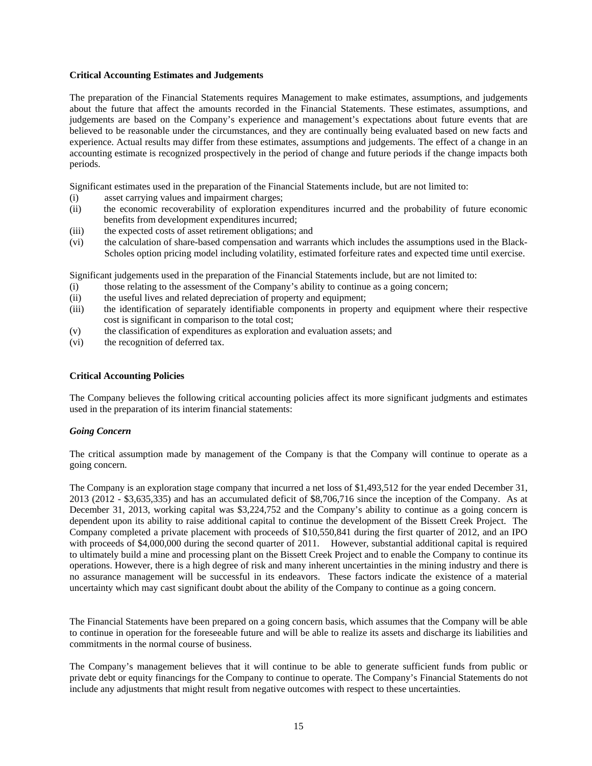# **Critical Accounting Estimates and Judgements**

The preparation of the Financial Statements requires Management to make estimates, assumptions, and judgements about the future that affect the amounts recorded in the Financial Statements. These estimates, assumptions, and judgements are based on the Company's experience and management's expectations about future events that are believed to be reasonable under the circumstances, and they are continually being evaluated based on new facts and experience. Actual results may differ from these estimates, assumptions and judgements. The effect of a change in an accounting estimate is recognized prospectively in the period of change and future periods if the change impacts both periods.

Significant estimates used in the preparation of the Financial Statements include, but are not limited to:

- (i) asset carrying values and impairment charges;
- (ii) the economic recoverability of exploration expenditures incurred and the probability of future economic benefits from development expenditures incurred;
- (iii) the expected costs of asset retirement obligations; and
- (vi) the calculation of share-based compensation and warrants which includes the assumptions used in the Black-Scholes option pricing model including volatility, estimated forfeiture rates and expected time until exercise.

Significant judgements used in the preparation of the Financial Statements include, but are not limited to:

- (i) those relating to the assessment of the Company's ability to continue as a going concern;
- (ii) the useful lives and related depreciation of property and equipment;
- (iii) the identification of separately identifiable components in property and equipment where their respective cost is significant in comparison to the total cost;
- (v) the classification of expenditures as exploration and evaluation assets; and
- (vi) the recognition of deferred tax.

# **Critical Accounting Policies**

The Company believes the following critical accounting policies affect its more significant judgments and estimates used in the preparation of its interim financial statements:

# *Going Concern*

The critical assumption made by management of the Company is that the Company will continue to operate as a going concern.

The Company is an exploration stage company that incurred a net loss of \$1,493,512 for the year ended December 31, 2013 (2012 - \$3,635,335) and has an accumulated deficit of \$8,706,716 since the inception of the Company. As at December 31, 2013, working capital was \$3,224,752 and the Company's ability to continue as a going concern is dependent upon its ability to raise additional capital to continue the development of the Bissett Creek Project. The Company completed a private placement with proceeds of \$10,550,841 during the first quarter of 2012, and an IPO with proceeds of \$4,000,000 during the second quarter of 2011. However, substantial additional capital is required to ultimately build a mine and processing plant on the Bissett Creek Project and to enable the Company to continue its operations. However, there is a high degree of risk and many inherent uncertainties in the mining industry and there is no assurance management will be successful in its endeavors. These factors indicate the existence of a material uncertainty which may cast significant doubt about the ability of the Company to continue as a going concern.

The Financial Statements have been prepared on a going concern basis, which assumes that the Company will be able to continue in operation for the foreseeable future and will be able to realize its assets and discharge its liabilities and commitments in the normal course of business.

The Company's management believes that it will continue to be able to generate sufficient funds from public or private debt or equity financings for the Company to continue to operate. The Company's Financial Statements do not include any adjustments that might result from negative outcomes with respect to these uncertainties.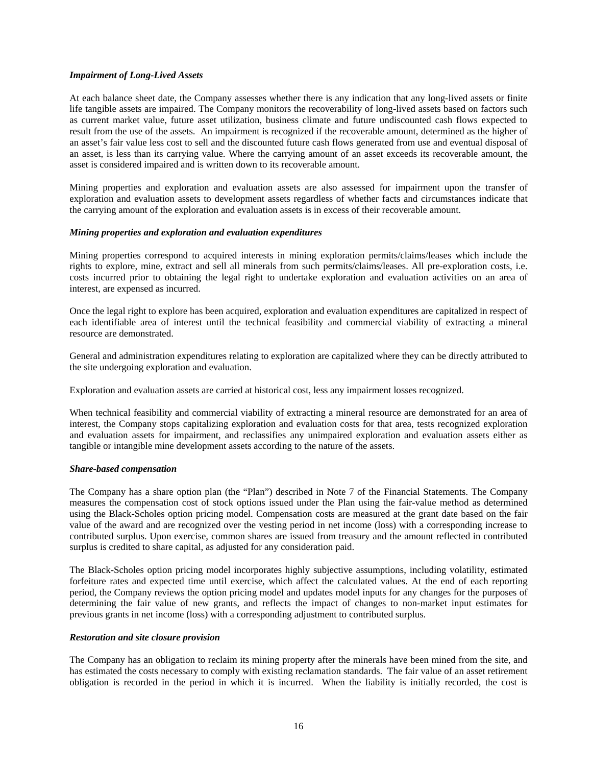# *Impairment of Long-Lived Assets*

At each balance sheet date, the Company assesses whether there is any indication that any long-lived assets or finite life tangible assets are impaired. The Company monitors the recoverability of long-lived assets based on factors such as current market value, future asset utilization, business climate and future undiscounted cash flows expected to result from the use of the assets. An impairment is recognized if the recoverable amount, determined as the higher of an asset's fair value less cost to sell and the discounted future cash flows generated from use and eventual disposal of an asset, is less than its carrying value. Where the carrying amount of an asset exceeds its recoverable amount, the asset is considered impaired and is written down to its recoverable amount.

Mining properties and exploration and evaluation assets are also assessed for impairment upon the transfer of exploration and evaluation assets to development assets regardless of whether facts and circumstances indicate that the carrying amount of the exploration and evaluation assets is in excess of their recoverable amount.

# *Mining properties and exploration and evaluation expenditures*

Mining properties correspond to acquired interests in mining exploration permits/claims/leases which include the rights to explore, mine, extract and sell all minerals from such permits/claims/leases. All pre-exploration costs, i.e. costs incurred prior to obtaining the legal right to undertake exploration and evaluation activities on an area of interest, are expensed as incurred.

Once the legal right to explore has been acquired, exploration and evaluation expenditures are capitalized in respect of each identifiable area of interest until the technical feasibility and commercial viability of extracting a mineral resource are demonstrated.

General and administration expenditures relating to exploration are capitalized where they can be directly attributed to the site undergoing exploration and evaluation.

Exploration and evaluation assets are carried at historical cost, less any impairment losses recognized.

When technical feasibility and commercial viability of extracting a mineral resource are demonstrated for an area of interest, the Company stops capitalizing exploration and evaluation costs for that area, tests recognized exploration and evaluation assets for impairment, and reclassifies any unimpaired exploration and evaluation assets either as tangible or intangible mine development assets according to the nature of the assets.

# *Share-based compensation*

The Company has a share option plan (the "Plan") described in Note 7 of the Financial Statements. The Company measures the compensation cost of stock options issued under the Plan using the fair-value method as determined using the Black-Scholes option pricing model. Compensation costs are measured at the grant date based on the fair value of the award and are recognized over the vesting period in net income (loss) with a corresponding increase to contributed surplus. Upon exercise, common shares are issued from treasury and the amount reflected in contributed surplus is credited to share capital, as adjusted for any consideration paid.

The Black-Scholes option pricing model incorporates highly subjective assumptions, including volatility, estimated forfeiture rates and expected time until exercise, which affect the calculated values. At the end of each reporting period, the Company reviews the option pricing model and updates model inputs for any changes for the purposes of determining the fair value of new grants, and reflects the impact of changes to non-market input estimates for previous grants in net income (loss) with a corresponding adjustment to contributed surplus.

# *Restoration and site closure provision*

The Company has an obligation to reclaim its mining property after the minerals have been mined from the site, and has estimated the costs necessary to comply with existing reclamation standards. The fair value of an asset retirement obligation is recorded in the period in which it is incurred. When the liability is initially recorded, the cost is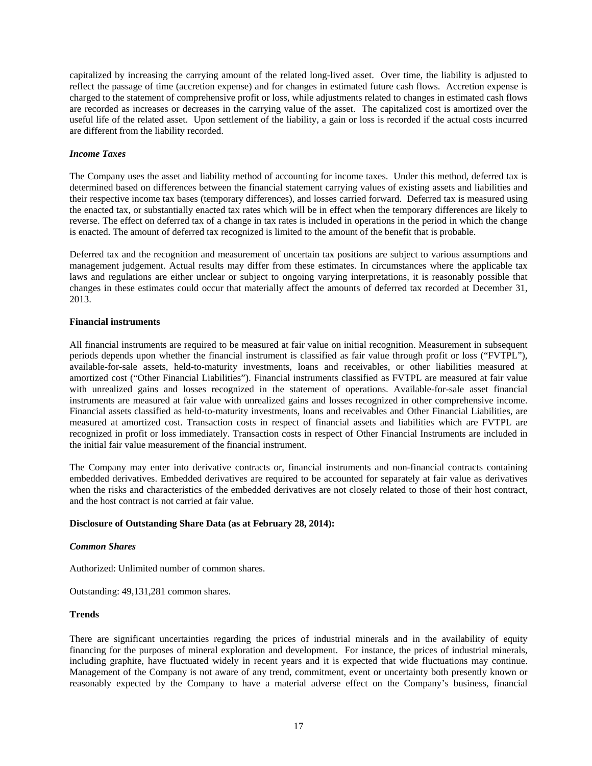capitalized by increasing the carrying amount of the related long-lived asset. Over time, the liability is adjusted to reflect the passage of time (accretion expense) and for changes in estimated future cash flows. Accretion expense is charged to the statement of comprehensive profit or loss, while adjustments related to changes in estimated cash flows are recorded as increases or decreases in the carrying value of the asset. The capitalized cost is amortized over the useful life of the related asset. Upon settlement of the liability, a gain or loss is recorded if the actual costs incurred are different from the liability recorded.

# *Income Taxes*

The Company uses the asset and liability method of accounting for income taxes. Under this method, deferred tax is determined based on differences between the financial statement carrying values of existing assets and liabilities and their respective income tax bases (temporary differences), and losses carried forward. Deferred tax is measured using the enacted tax, or substantially enacted tax rates which will be in effect when the temporary differences are likely to reverse. The effect on deferred tax of a change in tax rates is included in operations in the period in which the change is enacted. The amount of deferred tax recognized is limited to the amount of the benefit that is probable.

Deferred tax and the recognition and measurement of uncertain tax positions are subject to various assumptions and management judgement. Actual results may differ from these estimates. In circumstances where the applicable tax laws and regulations are either unclear or subject to ongoing varying interpretations, it is reasonably possible that changes in these estimates could occur that materially affect the amounts of deferred tax recorded at December 31, 2013.

# **Financial instruments**

All financial instruments are required to be measured at fair value on initial recognition. Measurement in subsequent periods depends upon whether the financial instrument is classified as fair value through profit or loss ("FVTPL"), available-for-sale assets, held-to-maturity investments, loans and receivables, or other liabilities measured at amortized cost ("Other Financial Liabilities"). Financial instruments classified as FVTPL are measured at fair value with unrealized gains and losses recognized in the statement of operations. Available-for-sale asset financial instruments are measured at fair value with unrealized gains and losses recognized in other comprehensive income. Financial assets classified as held-to-maturity investments, loans and receivables and Other Financial Liabilities, are measured at amortized cost. Transaction costs in respect of financial assets and liabilities which are FVTPL are recognized in profit or loss immediately. Transaction costs in respect of Other Financial Instruments are included in the initial fair value measurement of the financial instrument.

The Company may enter into derivative contracts or, financial instruments and non-financial contracts containing embedded derivatives. Embedded derivatives are required to be accounted for separately at fair value as derivatives when the risks and characteristics of the embedded derivatives are not closely related to those of their host contract, and the host contract is not carried at fair value.

# **Disclosure of Outstanding Share Data (as at February 28, 2014):**

# *Common Shares*

Authorized: Unlimited number of common shares.

Outstanding: 49,131,281 common shares.

# **Trends**

There are significant uncertainties regarding the prices of industrial minerals and in the availability of equity financing for the purposes of mineral exploration and development. For instance, the prices of industrial minerals, including graphite, have fluctuated widely in recent years and it is expected that wide fluctuations may continue. Management of the Company is not aware of any trend, commitment, event or uncertainty both presently known or reasonably expected by the Company to have a material adverse effect on the Company's business, financial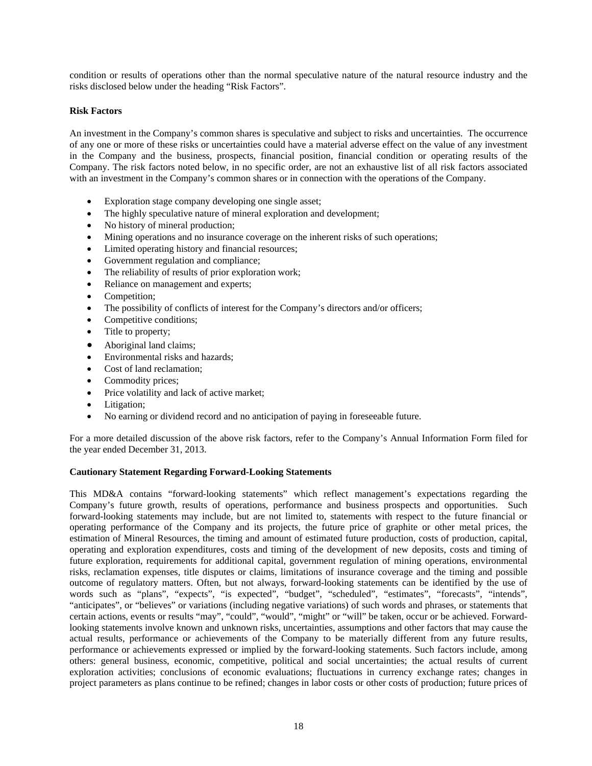condition or results of operations other than the normal speculative nature of the natural resource industry and the risks disclosed below under the heading "Risk Factors".

# **Risk Factors**

An investment in the Company's common shares is speculative and subject to risks and uncertainties. The occurrence of any one or more of these risks or uncertainties could have a material adverse effect on the value of any investment in the Company and the business, prospects, financial position, financial condition or operating results of the Company. The risk factors noted below, in no specific order, are not an exhaustive list of all risk factors associated with an investment in the Company's common shares or in connection with the operations of the Company.

- Exploration stage company developing one single asset;
- The highly speculative nature of mineral exploration and development;
- No history of mineral production;
- Mining operations and no insurance coverage on the inherent risks of such operations;
- Limited operating history and financial resources;
- Government regulation and compliance;
- The reliability of results of prior exploration work;
- Reliance on management and experts;
- Competition;
- The possibility of conflicts of interest for the Company's directors and/or officers;
- Competitive conditions;
- Title to property;
- Aboriginal land claims;
- Environmental risks and hazards;
- Cost of land reclamation:
- Commodity prices;
- Price volatility and lack of active market;
- Litigation;
- No earning or dividend record and no anticipation of paying in foreseeable future.

For a more detailed discussion of the above risk factors, refer to the Company's Annual Information Form filed for the year ended December 31, 2013.

# **Cautionary Statement Regarding Forward-Looking Statements**

This MD&A contains "forward-looking statements" which reflect management's expectations regarding the Company's future growth, results of operations, performance and business prospects and opportunities. Such forward-looking statements may include, but are not limited to, statements with respect to the future financial or operating performance of the Company and its projects, the future price of graphite or other metal prices, the estimation of Mineral Resources, the timing and amount of estimated future production, costs of production, capital, operating and exploration expenditures, costs and timing of the development of new deposits, costs and timing of future exploration, requirements for additional capital, government regulation of mining operations, environmental risks, reclamation expenses, title disputes or claims, limitations of insurance coverage and the timing and possible outcome of regulatory matters. Often, but not always, forward-looking statements can be identified by the use of words such as "plans", "expects", "is expected", "budget", "scheduled", "estimates", "forecasts", "intends", "anticipates", or "believes" or variations (including negative variations) of such words and phrases, or statements that certain actions, events or results "may", "could", "would", "might" or "will" be taken, occur or be achieved. Forwardlooking statements involve known and unknown risks, uncertainties, assumptions and other factors that may cause the actual results, performance or achievements of the Company to be materially different from any future results, performance or achievements expressed or implied by the forward-looking statements. Such factors include, among others: general business, economic, competitive, political and social uncertainties; the actual results of current exploration activities; conclusions of economic evaluations; fluctuations in currency exchange rates; changes in project parameters as plans continue to be refined; changes in labor costs or other costs of production; future prices of